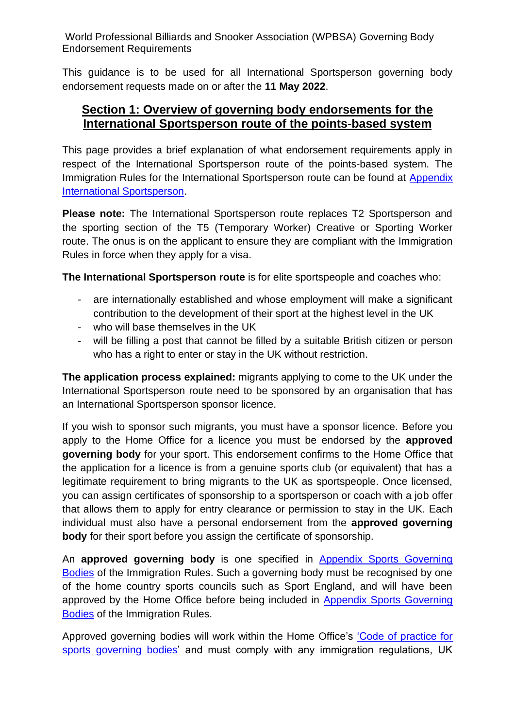This guidance is to be used for all International Sportsperson governing body endorsement requests made on or after the **11 May 2022**.

#### **Section 1: Overview of governing body endorsements for the International Sportsperson route of the points-based system**

This page provides a brief explanation of what endorsement requirements apply in respect of the International Sportsperson route of the points-based system. The Immigration Rules for the International Sportsperson route can be found at [Appendix](https://www.gov.uk/guidance/immigration-rules/immigration-rules-appendix-international-sportsperson)  [International Sportsperson.](https://www.gov.uk/guidance/immigration-rules/immigration-rules-appendix-international-sportsperson)

**Please note:** The International Sportsperson route replaces T2 Sportsperson and the sporting section of the T5 (Temporary Worker) Creative or Sporting Worker route. The onus is on the applicant to ensure they are compliant with the Immigration Rules in force when they apply for a visa.

**The International Sportsperson route** is for elite sportspeople and coaches who:

- are internationally established and whose employment will make a significant contribution to the development of their sport at the highest level in the UK
- who will base themselves in the UK
- will be filling a post that cannot be filled by a suitable British citizen or person who has a right to enter or stay in the UK without restriction.

**The application process explained:** migrants applying to come to the UK under the International Sportsperson route need to be sponsored by an organisation that has an International Sportsperson sponsor licence.

If you wish to sponsor such migrants, you must have a sponsor licence. Before you apply to the Home Office for a licence you must be endorsed by the **approved governing body** for your sport. This endorsement confirms to the Home Office that the application for a licence is from a genuine sports club (or equivalent) that has a legitimate requirement to bring migrants to the UK as sportspeople. Once licensed, you can assign certificates of sponsorship to a sportsperson or coach with a job offer that allows them to apply for entry clearance or permission to stay in the UK. Each individual must also have a personal endorsement from the **approved governing body** for their sport before you assign the certificate of sponsorship.

An **approved governing body** is one specified in [Appendix Sports Governing](https://www.gov.uk/guidance/immigration-rules/immigration-rules-appendix-sports-governing-bodies)  [Bodies](https://www.gov.uk/guidance/immigration-rules/immigration-rules-appendix-sports-governing-bodies) of the Immigration Rules. Such a governing body must be recognised by one of the home country sports councils such as Sport England, and will have been approved by the Home Office before being included in [Appendix Sports Governing](https://www.gov.uk/guidance/immigration-rules/immigration-rules-appendix-sports-governing-bodies)  [Bodies](https://www.gov.uk/guidance/immigration-rules/immigration-rules-appendix-sports-governing-bodies) of the Immigration Rules.

Approved governing bodies will work within the Home Office's ['Code of practice for](https://www.gov.uk/government/uploads/system/uploads/attachment_data/file/257342/sportingcodeofpractice.pdf)  [sports governing bodies'](https://www.gov.uk/government/uploads/system/uploads/attachment_data/file/257342/sportingcodeofpractice.pdf) and must comply with any immigration regulations, UK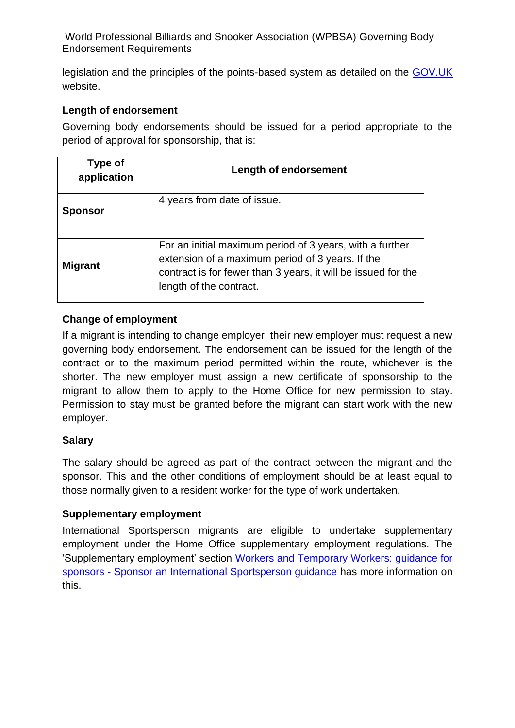legislation and the principles of the points-based system as detailed on the [GOV.UK](https://www.gov.uk/browse/visas-immigration/work-visas) website.

#### **Length of endorsement**

Governing body endorsements should be issued for a period appropriate to the period of approval for sponsorship, that is:

| Type of<br>application | <b>Length of endorsement</b>                                                                                                                                                                             |
|------------------------|----------------------------------------------------------------------------------------------------------------------------------------------------------------------------------------------------------|
| <b>Sponsor</b>         | 4 years from date of issue.                                                                                                                                                                              |
| <b>Migrant</b>         | For an initial maximum period of 3 years, with a further<br>extension of a maximum period of 3 years. If the<br>contract is for fewer than 3 years, it will be issued for the<br>length of the contract. |

#### **Change of employment**

If a migrant is intending to change employer, their new employer must request a new governing body endorsement. The endorsement can be issued for the length of the contract or to the maximum period permitted within the route, whichever is the shorter. The new employer must assign a new certificate of sponsorship to the migrant to allow them to apply to the Home Office for new permission to stay. Permission to stay must be granted before the migrant can start work with the new employer.

#### **Salary**

The salary should be agreed as part of the contract between the migrant and the sponsor. This and the other conditions of employment should be at least equal to those normally given to a resident worker for the type of work undertaken.

#### **Supplementary employment**

International Sportsperson migrants are eligible to undertake supplementary employment under the Home Office supplementary employment regulations. The 'Supplementary employment' section Workers and [Temporary Workers: guidance for](https://www.gov.uk/government/publications/workers-and-temporary-workers-guidance-for-sponsors-sponsor-a-sportsperson-or-sporting-worker)  sponsors - [Sponsor an International Sportsperson guidance](https://www.gov.uk/government/publications/workers-and-temporary-workers-guidance-for-sponsors-sponsor-a-sportsperson-or-sporting-worker) has more information on this.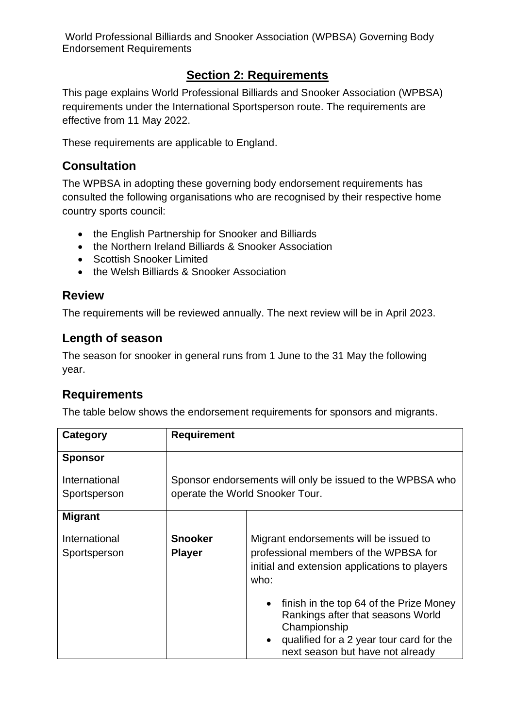## **Section 2: Requirements**

This page explains World Professional Billiards and Snooker Association (WPBSA) requirements under the International Sportsperson route. The requirements are effective from 11 May 2022.

These requirements are applicable to England.

### **Consultation**

The WPBSA in adopting these governing body endorsement requirements has consulted the following organisations who are recognised by their respective home country sports council:

- the English Partnership for Snooker and Billiards
- the Northern Ireland Billiards & Snooker Association
- Scottish Snooker Limited
- the Welsh Billiards & Snooker Association

#### **Review**

The requirements will be reviewed annually. The next review will be in April 2023.

#### **Length of season**

The season for snooker in general runs from 1 June to the 31 May the following year.

### **Requirements**

The table below shows the endorsement requirements for sponsors and migrants.

| Category                      | <b>Requirement</b>              |                                                                                                                                                                              |
|-------------------------------|---------------------------------|------------------------------------------------------------------------------------------------------------------------------------------------------------------------------|
| <b>Sponsor</b>                |                                 |                                                                                                                                                                              |
| International<br>Sportsperson |                                 | Sponsor endorsements will only be issued to the WPBSA who<br>operate the World Snooker Tour.                                                                                 |
| <b>Migrant</b>                |                                 |                                                                                                                                                                              |
| International<br>Sportsperson | <b>Snooker</b><br><b>Player</b> | Migrant endorsements will be issued to<br>professional members of the WPBSA for<br>initial and extension applications to players<br>who:                                     |
|                               |                                 | finish in the top 64 of the Prize Money<br>Rankings after that seasons World<br>Championship<br>qualified for a 2 year tour card for the<br>next season but have not already |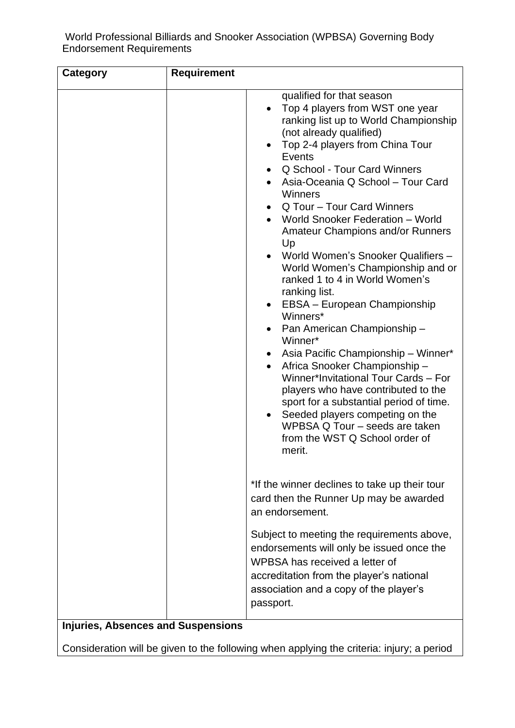| <b>Category</b> | <b>Requirement</b> |                                                                                                                                                                                                                                                                                                                                                                                                                                                                                                                                                                                                                                                                                                                                                                                                                                                                                                                                                                                       |
|-----------------|--------------------|---------------------------------------------------------------------------------------------------------------------------------------------------------------------------------------------------------------------------------------------------------------------------------------------------------------------------------------------------------------------------------------------------------------------------------------------------------------------------------------------------------------------------------------------------------------------------------------------------------------------------------------------------------------------------------------------------------------------------------------------------------------------------------------------------------------------------------------------------------------------------------------------------------------------------------------------------------------------------------------|
|                 |                    | qualified for that season<br>Top 4 players from WST one year<br>$\bullet$<br>ranking list up to World Championship<br>(not already qualified)<br>Top 2-4 players from China Tour<br>$\bullet$<br><b>Events</b><br>Q School - Tour Card Winners<br>Asia-Oceania Q School - Tour Card<br>Winners<br>Q Tour - Tour Card Winners<br>World Snooker Federation - World<br><b>Amateur Champions and/or Runners</b><br>Up<br>World Women's Snooker Qualifiers -<br>World Women's Championship and or<br>ranked 1 to 4 in World Women's<br>ranking list.<br>EBSA - European Championship<br>$\bullet$<br>Winners*<br>Pan American Championship-<br>Winner*<br>Asia Pacific Championship - Winner*<br>Africa Snooker Championship-<br>٠<br>Winner*Invitational Tour Cards - For<br>players who have contributed to the<br>sport for a substantial period of time.<br>Seeded players competing on the<br>$\bullet$<br>WPBSA Q Tour - seeds are taken<br>from the WST Q School order of<br>merit. |
|                 |                    | *If the winner declines to take up their tour<br>card then the Runner Up may be awarded<br>an endorsement.                                                                                                                                                                                                                                                                                                                                                                                                                                                                                                                                                                                                                                                                                                                                                                                                                                                                            |
|                 |                    | Subject to meeting the requirements above,<br>endorsements will only be issued once the<br>WPBSA has received a letter of<br>accreditation from the player's national<br>association and a copy of the player's<br>passport.                                                                                                                                                                                                                                                                                                                                                                                                                                                                                                                                                                                                                                                                                                                                                          |

### **Injuries, Absences and Suspensions**

Consideration will be given to the following when applying the criteria: injury; a period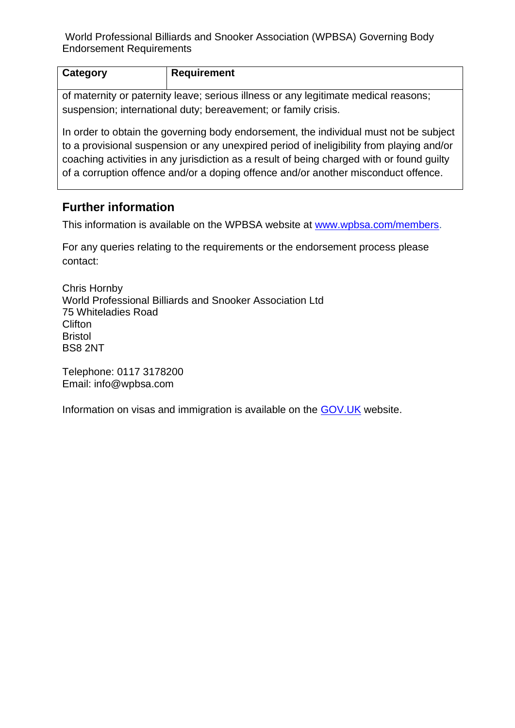| Category                                                                            | <b>Requirement</b> |  |
|-------------------------------------------------------------------------------------|--------------------|--|
| of maternity or paternity leave; serious illness or any legitimate medical reasons; |                    |  |
| suspension; international duty; bereavement; or family crisis.                      |                    |  |

In order to obtain the governing body endorsement, the individual must not be subject to a provisional suspension or any unexpired period of ineligibility from playing and/or coaching activities in any jurisdiction as a result of being charged with or found guilty of a corruption offence and/or a doping offence and/or another misconduct offence.

### **Further information**

This information is available on the WPBSA website at [www.wpbsa.com/members.](http://www.wpbsa.com/members)

For any queries relating to the requirements or the endorsement process please contact:

Chris Hornby World Professional Billiards and Snooker Association Ltd 75 Whiteladies Road **Clifton** Bristol BS8 2NT

Telephone: 0117 3178200 Email: info@wpbsa.com

Information on visas and immigration is available on the [GOV.UK](https://www.gov.uk/browse/visas-immigration/work-visas) website.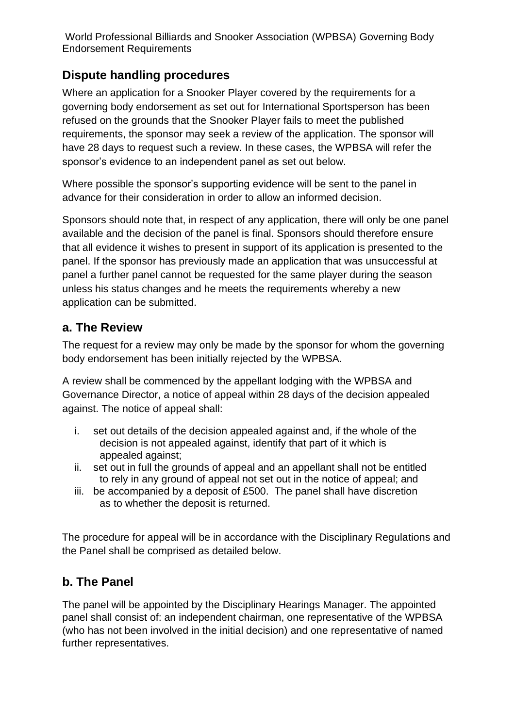# **Dispute handling procedures**

Where an application for a Snooker Player covered by the requirements for a governing body endorsement as set out for International Sportsperson has been refused on the grounds that the Snooker Player fails to meet the published requirements, the sponsor may seek a review of the application. The sponsor will have 28 days to request such a review. In these cases, the WPBSA will refer the sponsor's evidence to an independent panel as set out below.

Where possible the sponsor's supporting evidence will be sent to the panel in advance for their consideration in order to allow an informed decision.

Sponsors should note that, in respect of any application, there will only be one panel available and the decision of the panel is final. Sponsors should therefore ensure that all evidence it wishes to present in support of its application is presented to the panel. If the sponsor has previously made an application that was unsuccessful at panel a further panel cannot be requested for the same player during the season unless his status changes and he meets the requirements whereby a new application can be submitted.

### **a. The Review**

The request for a review may only be made by the sponsor for whom the governing body endorsement has been initially rejected by the WPBSA.

A review shall be commenced by the appellant lodging with the WPBSA and Governance Director, a notice of appeal within 28 days of the decision appealed against. The notice of appeal shall:

- i. set out details of the decision appealed against and, if the whole of the decision is not appealed against, identify that part of it which is appealed against;
- ii. set out in full the grounds of appeal and an appellant shall not be entitled to rely in any ground of appeal not set out in the notice of appeal; and
- iii. be accompanied by a deposit of £500. The panel shall have discretion as to whether the deposit is returned.

The procedure for appeal will be in accordance with the Disciplinary Regulations and the Panel shall be comprised as detailed below.

# **b. The Panel**

The panel will be appointed by the Disciplinary Hearings Manager. The appointed panel shall consist of: an independent chairman, one representative of the WPBSA (who has not been involved in the initial decision) and one representative of named further representatives.